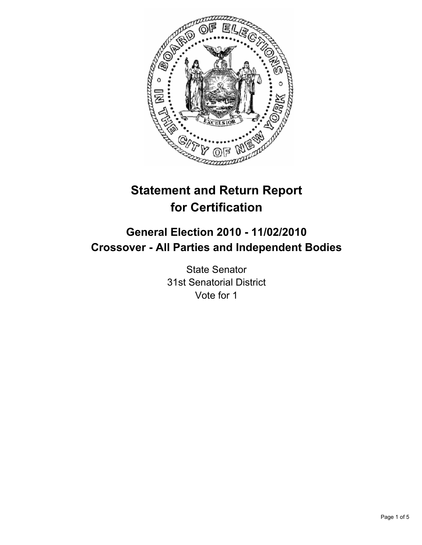

# **Statement and Return Report for Certification**

## **General Election 2010 - 11/02/2010 Crossover - All Parties and Independent Bodies**

State Senator 31st Senatorial District Vote for 1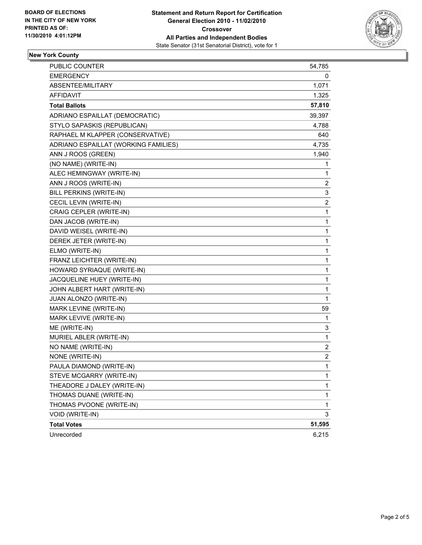

### **New York County**

| <b>PUBLIC COUNTER</b>                | 54,785                  |
|--------------------------------------|-------------------------|
| <b>EMERGENCY</b>                     | 0                       |
| ABSENTEE/MILITARY                    | 1,071                   |
| AFFIDAVIT                            | 1,325                   |
| <b>Total Ballots</b>                 | 57,810                  |
| ADRIANO ESPAILLAT (DEMOCRATIC)       | 39,397                  |
| STYLO SAPASKIS (REPUBLICAN)          | 4,788                   |
| RAPHAEL M KLAPPER (CONSERVATIVE)     | 640                     |
| ADRIANO ESPAILLAT (WORKING FAMILIES) | 4,735                   |
| ANN J ROOS (GREEN)                   | 1,940                   |
| (NO NAME) (WRITE-IN)                 | 1                       |
| ALEC HEMINGWAY (WRITE-IN)            | 1                       |
| ANN J ROOS (WRITE-IN)                | 2                       |
| BILL PERKINS (WRITE-IN)              | 3                       |
| CECIL LEVIN (WRITE-IN)               | $\overline{\mathbf{c}}$ |
| CRAIG CEPLER (WRITE-IN)              | 1                       |
| DAN JACOB (WRITE-IN)                 | 1                       |
| DAVID WEISEL (WRITE-IN)              | 1                       |
| DEREK JETER (WRITE-IN)               | 1                       |
| ELMO (WRITE-IN)                      | 1                       |
| FRANZ LEICHTER (WRITE-IN)            | 1                       |
| HOWARD SYRIAQUE (WRITE-IN)           | 1                       |
| JACQUELINE HUEY (WRITE-IN)           | 1                       |
| JOHN ALBERT HART (WRITE-IN)          | 1                       |
| JUAN ALONZO (WRITE-IN)               | 1                       |
| MARK LEVINE (WRITE-IN)               | 59                      |
| MARK LEVIVE (WRITE-IN)               | 1                       |
| ME (WRITE-IN)                        | 3                       |
| MURIEL ABLER (WRITE-IN)              | 1                       |
| NO NAME (WRITE-IN)                   | $\overline{\mathbf{c}}$ |
| NONE (WRITE-IN)                      | 2                       |
| PAULA DIAMOND (WRITE-IN)             | 1                       |
| STEVE MCGARRY (WRITE-IN)             | 1                       |
| THEADORE J DALEY (WRITE-IN)          | 1                       |
| THOMAS DUANE (WRITE-IN)              | 1                       |
| THOMAS PVOONE (WRITE-IN)             | 1                       |
| VOID (WRITE-IN)                      | 3                       |
| <b>Total Votes</b>                   | 51,595                  |
| Unrecorded                           | 6,215                   |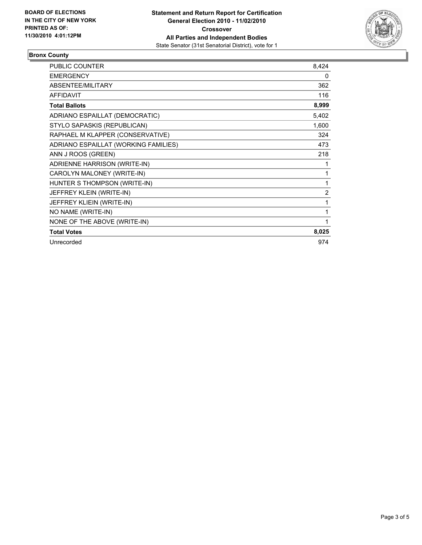

### **Bronx County**

| <b>PUBLIC COUNTER</b>                | 8,424          |
|--------------------------------------|----------------|
| <b>EMERGENCY</b>                     | 0              |
| <b>ABSENTEE/MILITARY</b>             | 362            |
| <b>AFFIDAVIT</b>                     | 116            |
| <b>Total Ballots</b>                 | 8,999          |
| ADRIANO ESPAILLAT (DEMOCRATIC)       | 5,402          |
| STYLO SAPASKIS (REPUBLICAN)          | 1,600          |
| RAPHAEL M KLAPPER (CONSERVATIVE)     | 324            |
| ADRIANO ESPAILLAT (WORKING FAMILIES) | 473            |
| ANN J ROOS (GREEN)                   | 218            |
| ADRIENNE HARRISON (WRITE-IN)         | 1              |
| CAROLYN MALONEY (WRITE-IN)           | 1              |
| HUNTER S THOMPSON (WRITE-IN)         | 1              |
| JEFFREY KLEIN (WRITE-IN)             | $\overline{2}$ |
| JEFFREY KLIEIN (WRITE-IN)            | 1              |
| NO NAME (WRITE-IN)                   | 1              |
| NONE OF THE ABOVE (WRITE-IN)         | 1              |
| <b>Total Votes</b>                   | 8,025          |
| Unrecorded                           | 974            |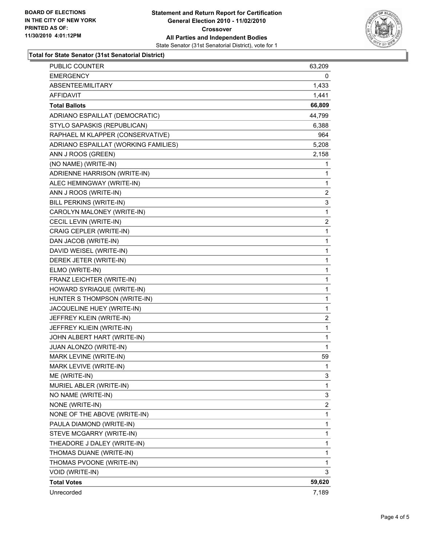

#### **Total for State Senator (31st Senatorial District)**

| PUBLIC COUNTER                       | 63,209 |
|--------------------------------------|--------|
| <b>EMERGENCY</b>                     | 0      |
| ABSENTEE/MILITARY                    | 1,433  |
| <b>AFFIDAVIT</b>                     | 1,441  |
| <b>Total Ballots</b>                 | 66,809 |
| ADRIANO ESPAILLAT (DEMOCRATIC)       | 44,799 |
| STYLO SAPASKIS (REPUBLICAN)          | 6,388  |
| RAPHAEL M KLAPPER (CONSERVATIVE)     | 964    |
| ADRIANO ESPAILLAT (WORKING FAMILIES) | 5,208  |
| ANN J ROOS (GREEN)                   | 2,158  |
| (NO NAME) (WRITE-IN)                 | 1      |
| ADRIENNE HARRISON (WRITE-IN)         | 1      |
| ALEC HEMINGWAY (WRITE-IN)            | 1      |
| ANN J ROOS (WRITE-IN)                | 2      |
| BILL PERKINS (WRITE-IN)              | 3      |
| CAROLYN MALONEY (WRITE-IN)           | 1      |
| CECIL LEVIN (WRITE-IN)               | 2      |
| CRAIG CEPLER (WRITE-IN)              | 1      |
| DAN JACOB (WRITE-IN)                 | 1      |
| DAVID WEISEL (WRITE-IN)              | 1      |
| DEREK JETER (WRITE-IN)               | 1      |
| ELMO (WRITE-IN)                      | 1      |
| FRANZ LEICHTER (WRITE-IN)            | 1      |
| HOWARD SYRIAQUE (WRITE-IN)           | 1      |
| HUNTER S THOMPSON (WRITE-IN)         | 1      |
| JACQUELINE HUEY (WRITE-IN)           | 1      |
| JEFFREY KLEIN (WRITE-IN)             | 2      |
| JEFFREY KLIEIN (WRITE-IN)            | 1      |
| JOHN ALBERT HART (WRITE-IN)          | 1      |
| JUAN ALONZO (WRITE-IN)               | 1      |
| MARK LEVINE (WRITE-IN)               | 59     |
| MARK LEVIVE (WRITE-IN)               | 1      |
| ME (WRITE-IN)                        | 3      |
| MURIEL ABLER (WRITE-IN)              | 1      |
| NO NAME (WRITE-IN)                   | 3      |
| NONE (WRITE-IN)                      | 2      |
| NONE OF THE ABOVE (WRITE-IN)         | 1      |
| PAULA DIAMOND (WRITE-IN)             | 1      |
| STEVE MCGARRY (WRITE-IN)             | 1      |
| THEADORE J DALEY (WRITE-IN)          | 1      |
| THOMAS DUANE (WRITE-IN)              | 1      |
| THOMAS PVOONE (WRITE-IN)             | 1      |
| VOID (WRITE-IN)                      | 3      |
| <b>Total Votes</b>                   | 59,620 |
| Unrecorded                           | 7,189  |